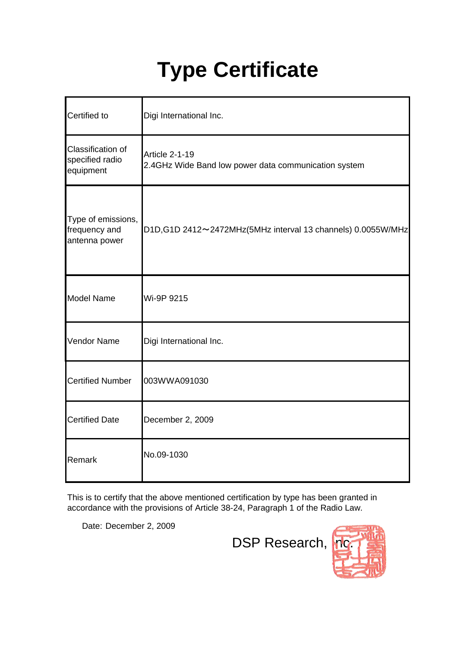## **Type Certificate**

| Certified to                                         | Digi International Inc.                                                |
|------------------------------------------------------|------------------------------------------------------------------------|
| Classification of<br>specified radio<br>equipment    | Article 2-1-19<br>2.4GHz Wide Band low power data communication system |
| Type of emissions,<br>frequency and<br>antenna power | D1D, G1D 2412~2472MHz(5MHz interval 13 channels) 0.0055W/MHz           |
| <b>Model Name</b>                                    | Wi-9P 9215                                                             |
| Vendor Name                                          | Digi International Inc.                                                |
| <b>Certified Number</b>                              | 003WWA091030                                                           |
| <b>Certified Date</b>                                | December 2, 2009                                                       |
| Remark                                               | No.09-1030                                                             |

This is to certify that the above mentioned certification by type has been granted in accordance with the provisions of Article 38-24, Paragraph 1 of the Radio Law.

Date: December 2, 2009

DSP Research, no

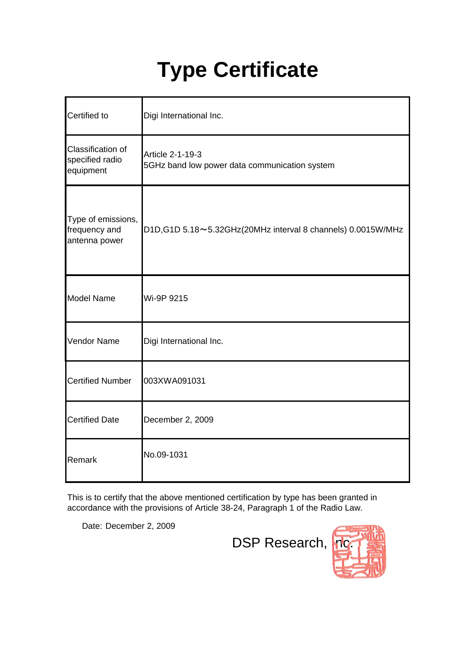## **Type Certificate**

| Certified to                                         | Digi International Inc.                                           |
|------------------------------------------------------|-------------------------------------------------------------------|
| Classification of<br>specified radio<br>equipment    | Article 2-1-19-3<br>5GHz band low power data communication system |
| Type of emissions,<br>frequency and<br>antenna power | D1D, G1D 5.18~5.32 GHz (20 MHz interval 8 channels) 0.0015 W/ MHz |
| <b>Model Name</b>                                    | Wi-9P 9215                                                        |
| Vendor Name                                          | Digi International Inc.                                           |
| <b>Certified Number</b>                              | 003XWA091031                                                      |
| <b>Certified Date</b>                                | December 2, 2009                                                  |
| Remark                                               | No.09-1031                                                        |

This is to certify that the above mentioned certification by type has been granted in accordance with the provisions of Article 38-24, Paragraph 1 of the Radio Law.

Date: December 2, 2009

DSP Research, **Inc.**